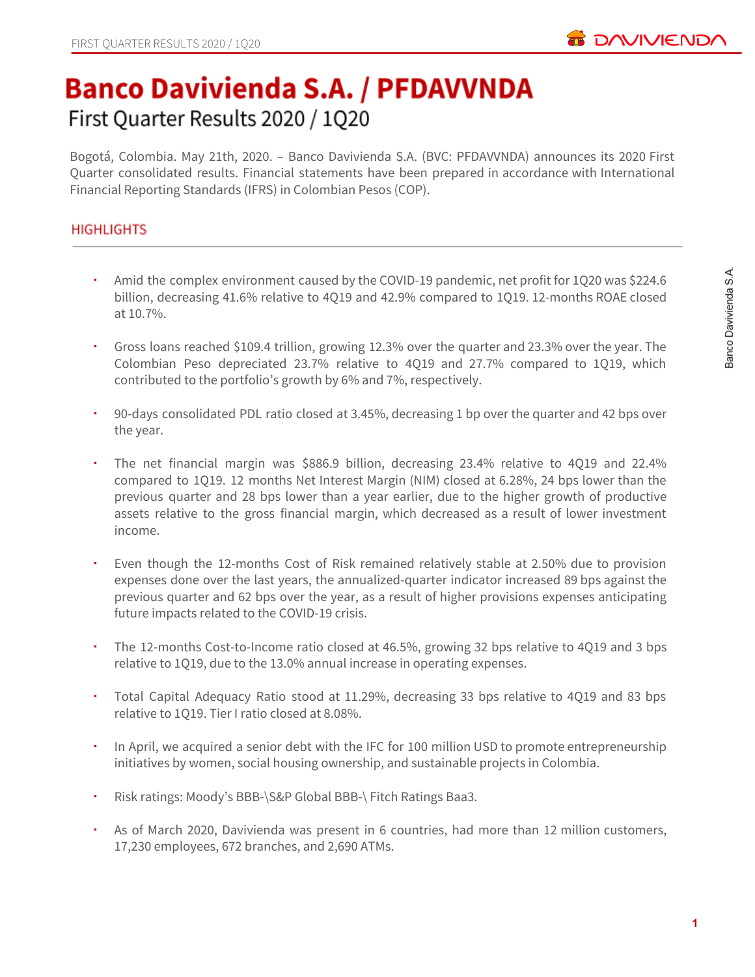

# **Banco Davivienda S.A. / PFDAVVNDA** First Quarter Results 2020 / 1Q20

Bogotá, Colombia. May 21th, 2020. – Banco Davivienda S.A. (BVC: PFDAVVNDA) announces its 2020 First Quarter consolidated results. Financial statements have been prepared in accordance with International Financial Reporting Standards (IFRS) in Colombian Pesos (COP).

## **HIGHLIGHTS**

- Amid the complex environment caused by the COVID-19 pandemic, net profit for 1Q20 was \$224.6 billion, decreasing 41.6% relative to 4Q19 and 42.9% compared to 1Q19. 12-months ROAE closed at 10.7%.
- Gross loans reached \$109.4 trillion, growing 12.3% over the quarter and 23.3% over the year. The Colombian Peso depreciated 23.7% relative to 4Q19 and 27.7% compared to 1Q19, which contributed to the portfolio's growth by 6% and 7%, respectively.
- 90-days consolidated PDL ratio closed at 3.45%, decreasing 1 bp over the quarter and 42 bps over the year.
- The net financial margin was \$886.9 billion, decreasing 23.4% relative to 4Q19 and 22.4% compared to 1Q19. 12 months Net Interest Margin (NIM) closed at 6.28%, 24 bps lower than the previous quarter and 28 bps lower than a year earlier, due to the higher growth of productive assets relative to the gross financial margin, which decreased as a result of lower investment income.
- Even though the 12-months Cost of Risk remained relatively stable at 2.50% due to provision expenses done over the last years, the annualized-quarter indicator increased 89 bps against the previous quarter and 62 bps over the year, as a result of higher provisions expenses anticipating future impacts related to the COVID-19 crisis.
- The 12-months Cost-to-Income ratio closed at 46.5%, growing 32 bps relative to 4Q19 and 3 bps relative to 1Q19, due to the 13.0% annual increase in operating expenses.
- Total Capital Adequacy Ratio stood at 11.29%, decreasing 33 bps relative to 4Q19 and 83 bps relative to 1Q19. Tier I ratio closed at 8.08%.
- In April, we acquired a senior debt with the IFC for 100 million USD to promote entrepreneurship initiatives by women, social housing ownership, and sustainable projects in Colombia.
- Risk ratings: Moody's BBB-\S&P Global BBB-\ Fitch Ratings Baa3.
- As of March 2020, Davivienda was present in 6 countries, had more than 12 million customers, 17,230 employees, 672 branches, and 2,690 ATMs.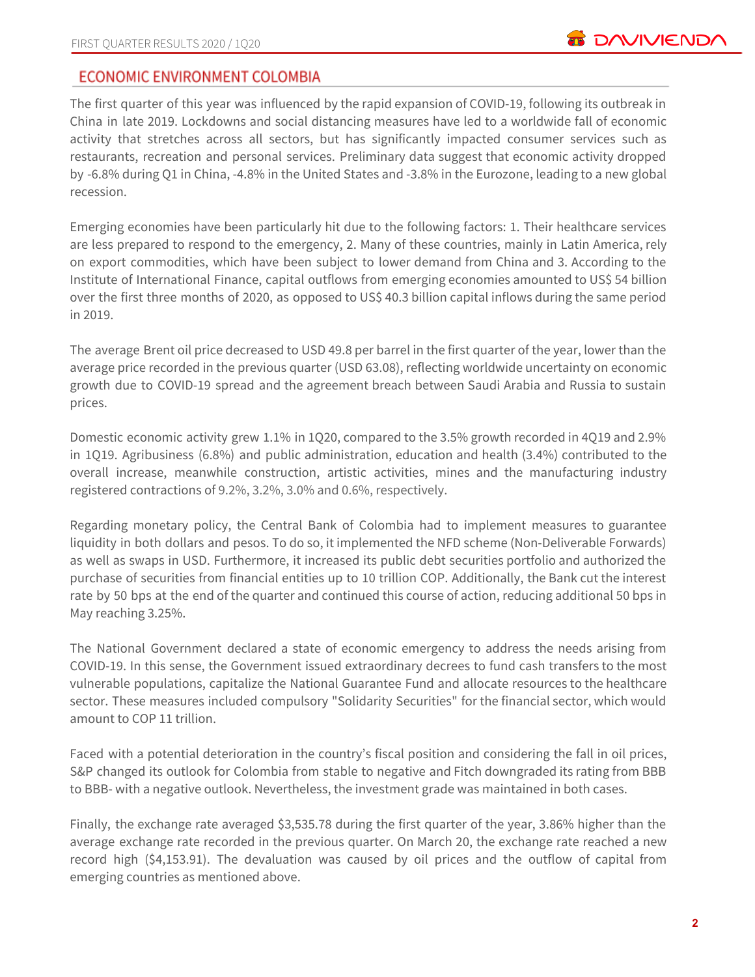## **ECONOMIC ENVIRONMENT COLOMBIA**

The first quarter of this year was influenced by the rapid expansion of COVID-19, following its outbreak in China in late 2019. Lockdowns and social distancing measures have led to a worldwide fall of economic activity that stretches across all sectors, but has significantly impacted consumer services such as restaurants, recreation and personal services. Preliminary data suggest that economic activity dropped by -6.8% during Q1 in China, -4.8% in the United States and -3.8% in the Eurozone, leading to a new global recession.

Emerging economies have been particularly hit due to the following factors: 1. Their healthcare services are less prepared to respond to the emergency, 2. Many of these countries, mainly in Latin America, rely on export commodities, which have been subject to lower demand from China and 3. According to the Institute of International Finance, capital outflows from emerging economies amounted to US\$ 54 billion over the first three months of 2020, as opposed to US\$ 40.3 billion capital inflows during the same period in 2019.

The average Brent oil price decreased to USD 49.8 per barrel in the first quarter of the year, lower than the average price recorded in the previous quarter (USD 63.08), reflecting worldwide uncertainty on economic growth due to COVID-19 spread and the agreement breach between Saudi Arabia and Russia to sustain prices.

Domestic economic activity grew 1.1% in 1Q20, compared to the 3.5% growth recorded in 4Q19 and 2.9% in 1Q19. Agribusiness (6.8%) and public administration, education and health (3.4%) contributed to the overall increase, meanwhile construction, artistic activities, mines and the manufacturing industry registered contractions of 9.2%, 3.2%, 3.0% and 0.6%, respectively.

Regarding monetary policy, the Central Bank of Colombia had to implement measures to guarantee liquidity in both dollars and pesos. To do so, it implemented the NFD scheme (Non-Deliverable Forwards) as well as swaps in USD. Furthermore, it increased its public debt securities portfolio and authorized the purchase of securities from financial entities up to 10 trillion COP. Additionally, the Bank cut the interest rate by 50 bps at the end of the quarter and continued this course of action, reducing additional 50 bps in May reaching 3.25%.

The National Government declared a state of economic emergency to address the needs arising from COVID-19. In this sense, the Government issued extraordinary decrees to fund cash transfers to the most vulnerable populations, capitalize the National Guarantee Fund and allocate resources to the healthcare sector. These measures included compulsory "Solidarity Securities" for the financial sector, which would amount to COP 11 trillion.

Faced with a potential deterioration in the country's fiscal position and considering the fall in oil prices, S&P changed its outlook for Colombia from stable to negative and Fitch downgraded its rating from BBB to BBB- with a negative outlook. Nevertheless, the investment grade was maintained in both cases.

Finally, the exchange rate averaged \$3,535.78 during the first quarter of the year, 3.86% higher than the average exchange rate recorded in the previous quarter. On March 20, the exchange rate reached a new record high (\$4,153.91). The devaluation was caused by oil prices and the outflow of capital from emerging countries as mentioned above.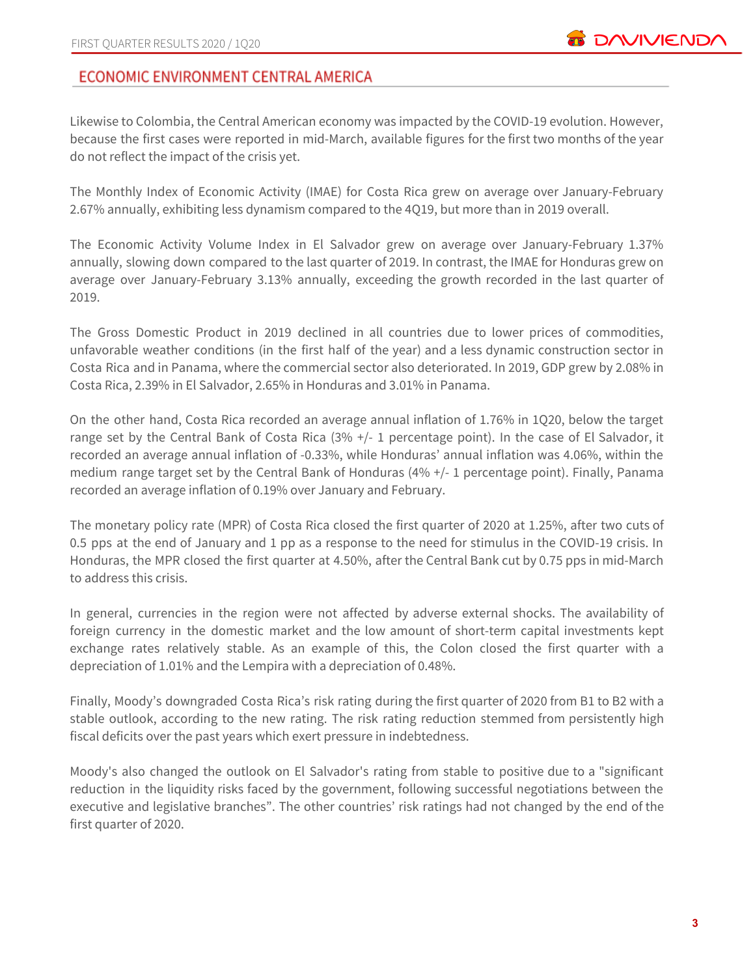# ECONOMIC ENVIRONMENT CENTRAL AMERICA

Likewise to Colombia, the Central American economy was impacted by the COVID-19 evolution. However, because the first cases were reported in mid-March, available figures for the first two months of the year do not reflect the impact of the crisis yet.

The Monthly Index of Economic Activity (IMAE) for Costa Rica grew on average over January-February 2.67% annually, exhibiting less dynamism compared to the 4Q19, but more than in 2019 overall.

The Economic Activity Volume Index in El Salvador grew on average over January-February 1.37% annually, slowing down compared to the last quarter of 2019. In contrast, the IMAE for Honduras grew on average over January-February 3.13% annually, exceeding the growth recorded in the last quarter of 2019.

The Gross Domestic Product in 2019 declined in all countries due to lower prices of commodities, unfavorable weather conditions (in the first half of the year) and a less dynamic construction sector in Costa Rica and in Panama, where the commercial sector also deteriorated. In 2019, GDP grew by 2.08% in Costa Rica, 2.39% in El Salvador, 2.65% in Honduras and 3.01% in Panama.

On the other hand, Costa Rica recorded an average annual inflation of 1.76% in 1Q20, below the target range set by the Central Bank of Costa Rica (3% +/- 1 percentage point). In the case of El Salvador, it recorded an average annual inflation of -0.33%, while Honduras' annual inflation was 4.06%, within the medium range target set by the Central Bank of Honduras (4% +/- 1 percentage point). Finally, Panama recorded an average inflation of 0.19% over January and February.

The monetary policy rate (MPR) of Costa Rica closed the first quarter of 2020 at 1.25%, after two cuts of 0.5 pps at the end of January and 1 pp as a response to the need for stimulus in the COVID-19 crisis. In Honduras, the MPR closed the first quarter at 4.50%, after the Central Bank cut by 0.75 pps in mid-March to address this crisis.

In general, currencies in the region were not affected by adverse external shocks. The availability of foreign currency in the domestic market and the low amount of short-term capital investments kept exchange rates relatively stable. As an example of this, the Colon closed the first quarter with a depreciation of 1.01% and the Lempira with a depreciation of 0.48%.

Finally, Moody's downgraded Costa Rica's risk rating during the first quarter of 2020 from B1 to B2 with a stable outlook, according to the new rating. The risk rating reduction stemmed from persistently high fiscal deficits over the past years which exert pressure in indebtedness.

Moody's also changed the outlook on El Salvador's rating from stable to positive due to a "significant reduction in the liquidity risks faced by the government, following successful negotiations between the executive and legislative branches". The other countries' risk ratings had not changed by the end of the first quarter of 2020.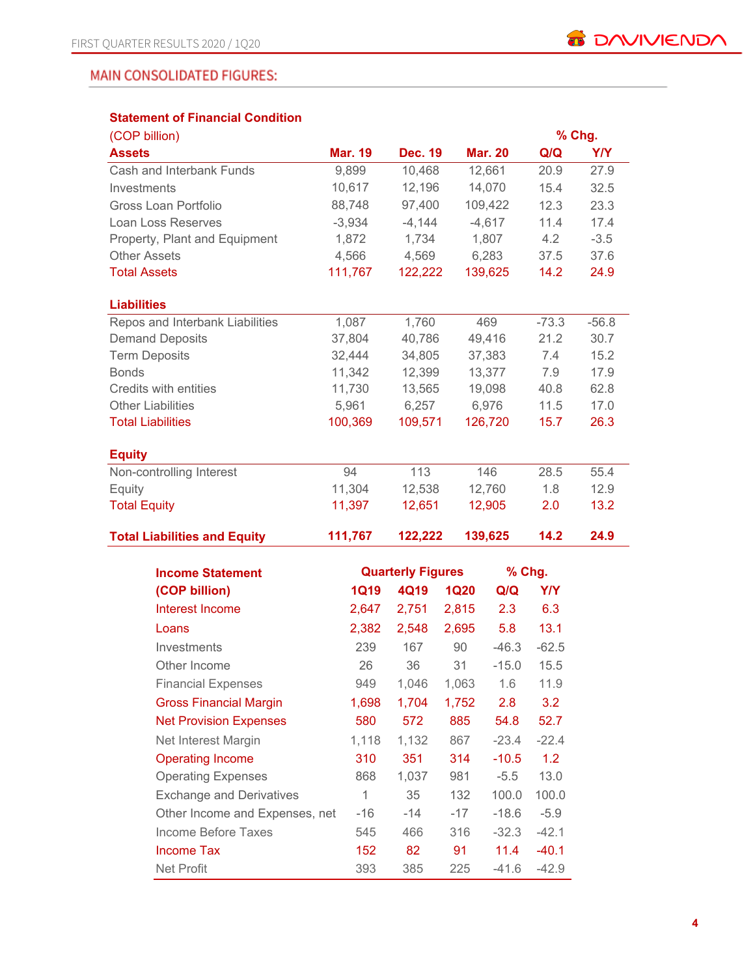## MAIN CONSOLIDATED FIGURES:

## **Statement of Financial Condition**

| (COP billion)                       |                |                          |             |                |            | % Chg.     |
|-------------------------------------|----------------|--------------------------|-------------|----------------|------------|------------|
| <b>Assets</b>                       | <b>Mar. 19</b> | <b>Dec. 19</b>           |             | <b>Mar. 20</b> | Q/Q        | <b>Y/Y</b> |
| Cash and Interbank Funds            | 9,899          | 10,468                   |             | 12,661         | 20.9       | 27.9       |
| Investments                         | 10,617         | 12,196                   |             | 14,070         | 15.4       | 32.5       |
| <b>Gross Loan Portfolio</b>         | 88,748         | 97,400                   |             | 109,422        | 12.3       | 23.3       |
| Loan Loss Reserves                  | $-3,934$       | $-4,144$                 |             | $-4,617$       | 11.4       | 17.4       |
| Property, Plant and Equipment       | 1,872          | 1,734                    |             | 1,807          | 4.2        | $-3.5$     |
| <b>Other Assets</b>                 | 4,566          | 4,569                    |             | 6,283          | 37.5       | 37.6       |
| <b>Total Assets</b>                 | 111,767        | 122,222                  |             | 139,625        | 14.2       | 24.9       |
| <b>Liabilities</b>                  |                |                          |             |                |            |            |
| Repos and Interbank Liabilities     | 1,087          | 1,760                    |             | 469            | $-73.3$    | $-56.8$    |
| <b>Demand Deposits</b>              | 37,804         | 40,786                   |             | 49,416         | 21.2       | 30.7       |
| <b>Term Deposits</b>                | 32,444         | 34,805                   |             | 37,383         | 7.4        | 15.2       |
| <b>Bonds</b>                        | 11,342         | 12,399                   |             | 13,377         | 7.9        | 17.9       |
| Credits with entities               | 11,730         | 13,565                   |             | 19,098         | 40.8       | 62.8       |
| <b>Other Liabilities</b>            | 5,961          | 6,257                    |             | 6,976          | 11.5       | 17.0       |
| <b>Total Liabilities</b>            | 100,369        | 109,571                  |             | 126,720        | 15.7       | 26.3       |
| <b>Equity</b>                       |                |                          |             |                |            |            |
| Non-controlling Interest            | 94             | 113                      |             | 146            | 28.5       | 55.4       |
| Equity                              | 11,304         | 12,538                   |             | 12,760         | 1.8        | 12.9       |
| <b>Total Equity</b>                 | 11,397         | 12,651                   |             | 12,905         | 2.0        | 13.2       |
| <b>Total Liabilities and Equity</b> | 111,767        | 122,222                  |             | 139,625        | 14.2       | 24.9       |
| <b>Income Statement</b>             |                | <b>Quarterly Figures</b> |             | % Chg.         |            |            |
| (COP billion)                       | <b>1Q19</b>    | 4Q19                     | <b>1Q20</b> | Q/Q            | <b>Y/Y</b> |            |
| Interest Income                     | 2,647          | 2,751                    | 2,815       | 2.3            | 6.3        |            |
|                                     | 2,382          | 2,548                    | 2,695       | 5.8            | 13.1       |            |
| Loans                               |                |                          |             | $-46.3$        |            |            |
| Investments                         | 239            | 167                      | 90          |                | $-62.5$    |            |
| Other Income                        | 26             | 36                       | 31          | $-15.0$        | 15.5       |            |
| <b>Financial Expenses</b>           | 949            | 1,046                    | 1,063       | 1.6            | 11.9       |            |
| <b>Gross Financial Margin</b>       | 1,698          | 1,704                    | 1,752       | 2.8            | 3.2        |            |
| <b>Net Provision Expenses</b>       | 580            | 572                      | 885         | 54.8           | 52.7       |            |
| Net Interest Margin                 | 1,118          | 1,132                    | 867         | $-23.4$        | $-22.4$    |            |
| <b>Operating Income</b>             | 310            | 351                      | 314         | $-10.5$        | 1.2        |            |
| <b>Operating Expenses</b>           | 868            | 1,037                    | 981         | $-5.5$         | 13.0       |            |
| <b>Exchange and Derivatives</b>     | 1              | 35                       | 132         | 100.0          | 100.0      |            |
| Other Income and Expenses, net      | -16            | $-14$                    | $-17$       | $-18.6$        | $-5.9$     |            |
| Income Before Taxes                 | 545            | 466                      | 316         | $-32.3$        | $-42.1$    |            |
| <b>Income Tax</b>                   | 152            | 82                       | 91          | 11.4           | $-40.1$    |            |
| Net Profit                          | 393            | 385                      | 225         | $-41.6$        | $-42.9$    |            |

**B** DAVIVIENDA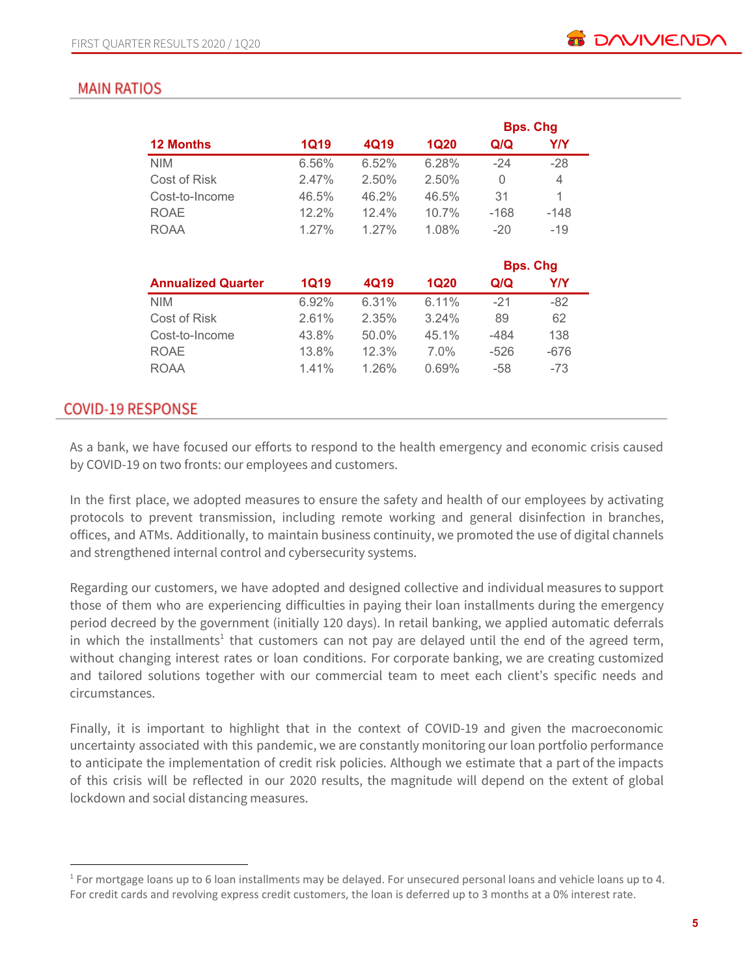# **MAIN RATIOS**

|                  |             |          |             |        | <b>Bps. Chg</b> |
|------------------|-------------|----------|-------------|--------|-----------------|
| <b>12 Months</b> | <b>1Q19</b> | 4Q19     | <b>1Q20</b> | Q/Q    | Y/Y             |
| <b>NIM</b>       | 6.56%       | 6.52%    | 6.28%       | $-24$  | $-28$           |
| Cost of Risk     | 2.47%       | 2.50%    | 2.50%       | 0      | 4               |
| Cost-to-Income   | 46.5%       | 46.2%    | 46.5%       | 31     | 1               |
| <b>ROAE</b>      | 12.2%       | 12.4%    | 10.7%       | $-168$ | $-148$          |
| <b>ROAA</b>      | 1.27%       | $1.27\%$ | 1.08%       | $-20$  | $-19$           |
|                  |             |          |             |        |                 |
|                  |             |          |             |        | Rne Cha         |

|       |          |         | <b>PPS.</b> VIIY |        |
|-------|----------|---------|------------------|--------|
| 1Q19  | 4Q19     | 1Q20    | Q/Q              | Y/Y    |
| 6.92% | 6.31%    | 6.11%   | $-21$            | -82    |
| 2.61% | 2.35%    | 3.24%   | 89               | 62     |
| 43.8% | $50.0\%$ | 45.1%   | -484             | 138    |
| 13.8% | 12.3%    | $7.0\%$ | $-526$           | $-676$ |
| 1.41% | $1.26\%$ | 0.69%   | -58              | -73    |
|       |          |         |                  |        |

## **COVID-19 RESPONSE**

As a bank, we have focused our efforts to respond to the health emergency and economic crisis caused by COVID-19 on two fronts: our employees and customers.

In the first place, we adopted measures to ensure the safety and health of our employees by activating protocols to prevent transmission, including remote working and general disinfection in branches, offices, and ATMs. Additionally, to maintain business continuity, we promoted the use of digital channels and strengthened internal control and cybersecurity systems.

Regarding our customers, we have adopted and designed collective and individual measures to support those of them who are experiencing difficulties in paying their loan installments during the emergency period decreed by the government (initially 120 days). In retail banking, we applied automatic deferrals in which the installments<sup>1</sup> that customers can not pay are delayed until the end of the agreed term, without changing interest rates or loan conditions. For corporate banking, we are creating customized and tailored solutions together with our commercial team to meet each client's specific needs and circumstances.

Finally, it is important to highlight that in the context of COVID-19 and given the macroeconomic uncertainty associated with this pandemic, we are constantly monitoring our loan portfolio performance to anticipate the implementation of credit risk policies. Although we estimate that a part of the impacts of this crisis will be reflected in our 2020 results, the magnitude will depend on the extent of global lockdown and social distancing measures.

<sup>1</sup> For mortgage loans up to 6 loan installments may be delayed. For unsecured personal loans and vehicle loans up to 4. For credit cards and revolving express credit customers, the loan is deferred up to 3 months at a 0% interest rate.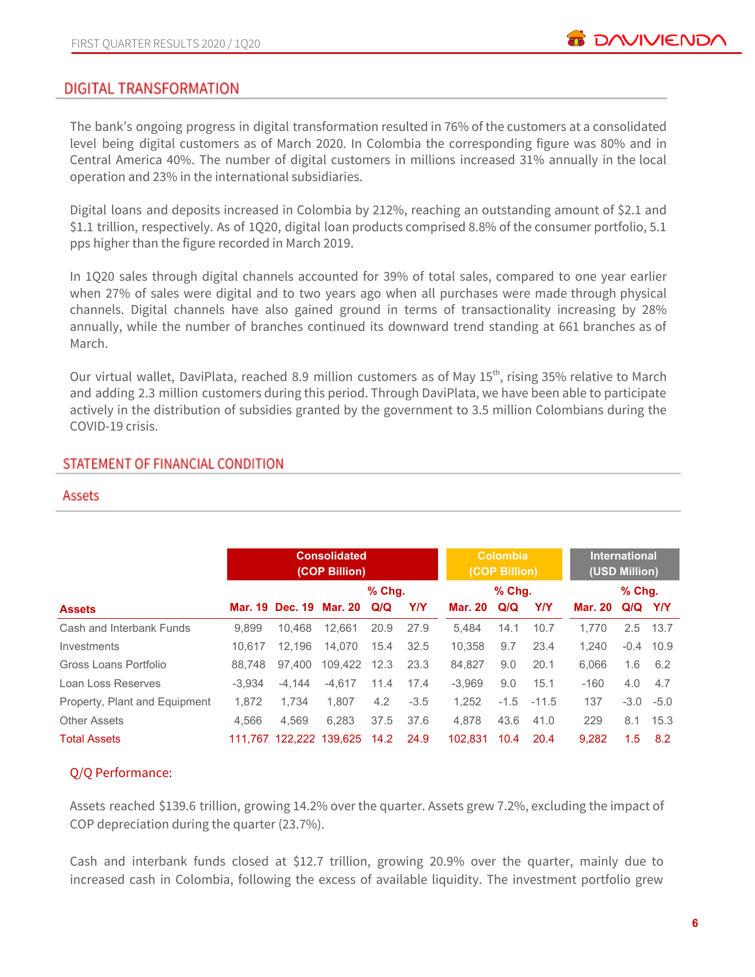## DIGITAL TRANSFORMATION

The bank's ongoing progress in digital transformation resulted in 76% of the customers at a consolidated level being digital customers as of March 2020. In Colombia the corresponding figure was 80% and in Central America 40%. The number of digital customers in millions increased 31% annually in the local operation and 23% in the international subsidiaries.

Digital loans and deposits increased in Colombia by 212%, reaching an outstanding amount of \$2.1 and \$1.1 trillion, respectively. As of 1Q20, digital loan products comprised 8.8% of the consumer portfolio, 5.1 pps higher than the figure recorded in March 2019.

In 1Q20 sales through digital channels accounted for 39% of total sales, compared to one year earlier when 27% of sales were digital and to two years ago when all purchases were made through physical channels. Digital channels have also gained ground in terms of transactionality increasing by 28% annually, while the number of branches continued its downward trend standing at 661 branches as of March.

Our virtual wallet, DaviPlata, reached 8.9 million customers as of May 15<sup>th</sup>, rising 35% relative to March and adding 2.3 million customers during this period. Through DaviPlata, we have been able to participate actively in the distribution of subsidies granted by the government to 3.5 million Colombians during the COVID-19 crisis.

#### STATEMENT OF FINANCIAL CONDITION

#### Assets

|                               |          |          | <b>Consolidated</b><br>(COP Billion) |          |        |          | <b>Colombia</b><br>(COP Billion) |         |         | <b>International</b><br>(USD Million) |             |
|-------------------------------|----------|----------|--------------------------------------|----------|--------|----------|----------------------------------|---------|---------|---------------------------------------|-------------|
|                               |          |          |                                      | $%$ Chq. |        |          | $%$ Chq.                         |         |         | $%$ Chg.                              |             |
| <b>Assets</b>                 |          |          | Mar. 19 Dec. 19 Mar. 20              | Q/Q      | Y/Y    | Mar. 20  | Q/Q                              | Y/Y     | Mar. 20 | Q/Q Y/Y                               |             |
| Cash and Interbank Funds      | 9.899    | 10.468   | 12.661                               | 20.9     | 27.9   | 5.484    | 14.1                             | 10.7    | 1.770   | $2.5^{\circ}$                         | 13.7        |
| Investments                   | 10.617   | 12.196   | 14.070                               | 15.4     | 32.5   | 10.358   | 9.7                              | 23.4    | 1.240   |                                       | $-0.4$ 10.9 |
| Gross Loans Portfolio         | 88.748   | 97.400   | 109.422                              | 12.3     | 23.3   | 84.827   | 9.0                              | 20.1    | 6.066   | 1.6                                   | 6.2         |
| Loan Loss Reserves            | $-3.934$ | $-4.144$ | $-4.617$                             | 11.4     | 17.4   | $-3.969$ | 9.0                              | 15.1    | $-160$  | 4.0                                   | 4.7         |
| Property, Plant and Equipment | 1,872    | 1.734    | 1.807                                | 4.2      | $-3.5$ | 1,252    | $-1.5$                           | $-11.5$ | 137     |                                       | $-3.0 -5.0$ |
| <b>Other Assets</b>           | 4.566    | 4.569    | 6.283                                | 37.5     | 37.6   | 4.878    | 43.6                             | 41.0    | 229     | 8.1                                   | 15.3        |
| <b>Total Assets</b>           |          |          | 111,767 122,222 139,625              | 14.2     | 24.9   | 102.831  | 10.4                             | 20.4    | 9.282   | 1.5                                   | 8.2         |

#### Q/Q Performance:

Assets reached \$139.6 trillion, growing 14.2% over the quarter. Assets grew 7.2%, excluding the impact of COP depreciation during the quarter (23.7%).

Cash and interbank funds closed at \$12.7 trillion, growing 20.9% over the quarter, mainly due to increased cash in Colombia, following the excess of available liquidity. The investment portfolio grew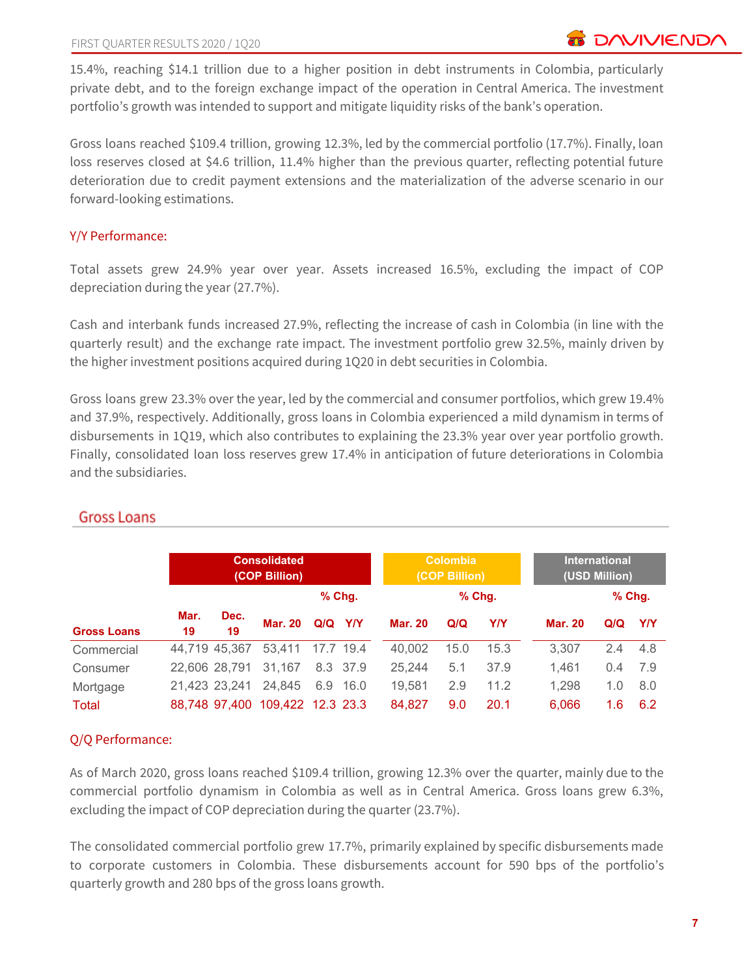15.4%, reaching \$14.1 trillion due to a higher position in debt instruments in Colombia, particularly private debt, and to the foreign exchange impact of the operation in Central America. The investment portfolio's growth was intended to support and mitigate liquidity risks of the bank's operation.

Gross loans reached \$109.4 trillion, growing 12.3%, led by the commercial portfolio (17.7%). Finally, loan loss reserves closed at \$4.6 trillion, 11.4% higher than the previous quarter, reflecting potential future deterioration due to credit payment extensions and the materialization of the adverse scenario in our forward-looking estimations.

#### Y/Y Performance:

Total assets grew 24.9% year over year. Assets increased 16.5%, excluding the impact of COP depreciation during the year (27.7%).

Cash and interbank funds increased 27.9%, reflecting the increase of cash in Colombia (in line with the quarterly result) and the exchange rate impact. The investment portfolio grew 32.5%, mainly driven by the higher investment positions acquired during 1Q20 in debt securities in Colombia.

Gross loans grew 23.3% over the year, led by the commercial and consumer portfolios, which grew 19.4% and 37.9%, respectively. Additionally, gross loans in Colombia experienced a mild dynamism in terms of disbursements in 1Q19, which also contributes to explaining the 23.3% year over year portfolio growth. Finally, consolidated loan loss reserves grew 17.4% in anticipation of future deteriorations in Colombia and the subsidiaries.

|                    |               |               | <b>Consolidated</b><br>(COP Billion) |             |          |                | <b>Colombia</b><br>(COP Billion) |          |                | <b>International</b><br>(USD Million) |        |
|--------------------|---------------|---------------|--------------------------------------|-------------|----------|----------------|----------------------------------|----------|----------------|---------------------------------------|--------|
|                    |               |               |                                      |             | $%$ Chg. |                |                                  | $%$ Chq. |                |                                       | % Chg. |
| <b>Gross Loans</b> | Mar.<br>19    | Dec.<br>19    | <b>Mar. 20</b>                       | $Q/Q$ $Y/Y$ |          | <b>Mar. 20</b> | Q/Q                              | Y/Y      | <b>Mar. 20</b> | Q/Q                                   | YN     |
| Commercial         |               | 44.719 45.367 | 53.411                               | 17.7 19.4   |          | 40.002         | 15.0                             | 15.3     | 3.307          | 2.4                                   | 4.8    |
| Consumer           | 22.606 28.791 |               | 31,167                               |             | 8.3 37.9 | 25,244         | 5.1                              | 37.9     | 1.461          | 0.4                                   | 7.9    |
| Mortgage           | 21.423 23.241 |               | 24.845                               | 6.9         | - 16.0   | 19.581         | 2.9                              | 11.2     | 1,298          | 1.0                                   | 8.0    |
| Total              |               | 88.748 97.400 | 109,422 12.3 23.3                    |             |          | 84.827         | 9.0                              | 20.1     | 6.066          | 1.6                                   | 6.2    |

## Gross Loans

#### Q/Q Performance:

As of March 2020, gross loans reached \$109.4 trillion, growing 12.3% over the quarter, mainly due to the commercial portfolio dynamism in Colombia as well as in Central America. Gross loans grew 6.3%, excluding the impact of COP depreciation during the quarter (23.7%).

The consolidated commercial portfolio grew 17.7%, primarily explained by specific disbursements made to corporate customers in Colombia. These disbursements account for 590 bps of the portfolio's quarterly growth and 280 bps of the gross loans growth.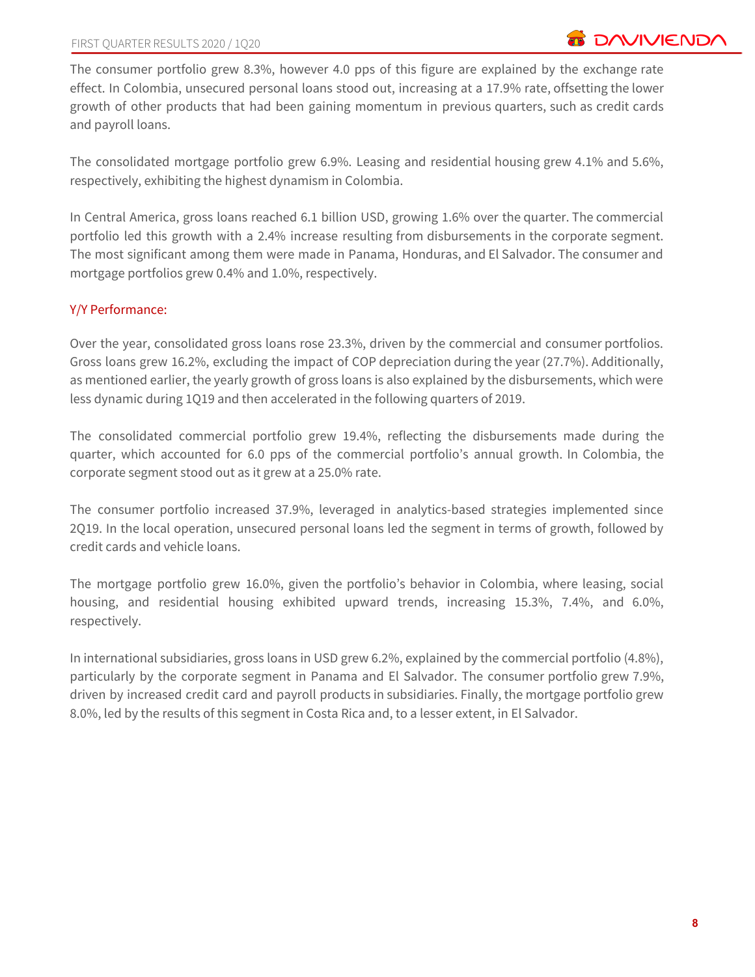The consumer portfolio grew 8.3%, however 4.0 pps of this figure are explained by the exchange rate effect. In Colombia, unsecured personal loans stood out, increasing at a 17.9% rate, offsetting the lower growth of other products that had been gaining momentum in previous quarters, such as credit cards and payroll loans.

The consolidated mortgage portfolio grew 6.9%. Leasing and residential housing grew 4.1% and 5.6%, respectively, exhibiting the highest dynamism in Colombia.

In Central America, gross loans reached 6.1 billion USD, growing 1.6% over the quarter. The commercial portfolio led this growth with a 2.4% increase resulting from disbursements in the corporate segment. The most significant among them were made in Panama, Honduras, and El Salvador. The consumer and mortgage portfolios grew 0.4% and 1.0%, respectively.

## Y/Y Performance:

Over the year, consolidated gross loans rose 23.3%, driven by the commercial and consumer portfolios. Gross loans grew 16.2%, excluding the impact of COP depreciation during the year (27.7%). Additionally, as mentioned earlier, the yearly growth of gross loans is also explained by the disbursements, which were less dynamic during 1Q19 and then accelerated in the following quarters of 2019.

The consolidated commercial portfolio grew 19.4%, reflecting the disbursements made during the quarter, which accounted for 6.0 pps of the commercial portfolio's annual growth. In Colombia, the corporate segment stood out as it grew at a 25.0% rate.

The consumer portfolio increased 37.9%, leveraged in analytics-based strategies implemented since 2Q19. In the local operation, unsecured personal loans led the segment in terms of growth, followed by credit cards and vehicle loans.

The mortgage portfolio grew 16.0%, given the portfolio's behavior in Colombia, where leasing, social housing, and residential housing exhibited upward trends, increasing 15.3%, 7.4%, and 6.0%, respectively.

In international subsidiaries, gross loans in USD grew 6.2%, explained by the commercial portfolio (4.8%), particularly by the corporate segment in Panama and El Salvador. The consumer portfolio grew 7.9%, driven by increased credit card and payroll products in subsidiaries. Finally, the mortgage portfolio grew 8.0%, led by the results of this segment in Costa Rica and, to a lesser extent, in El Salvador.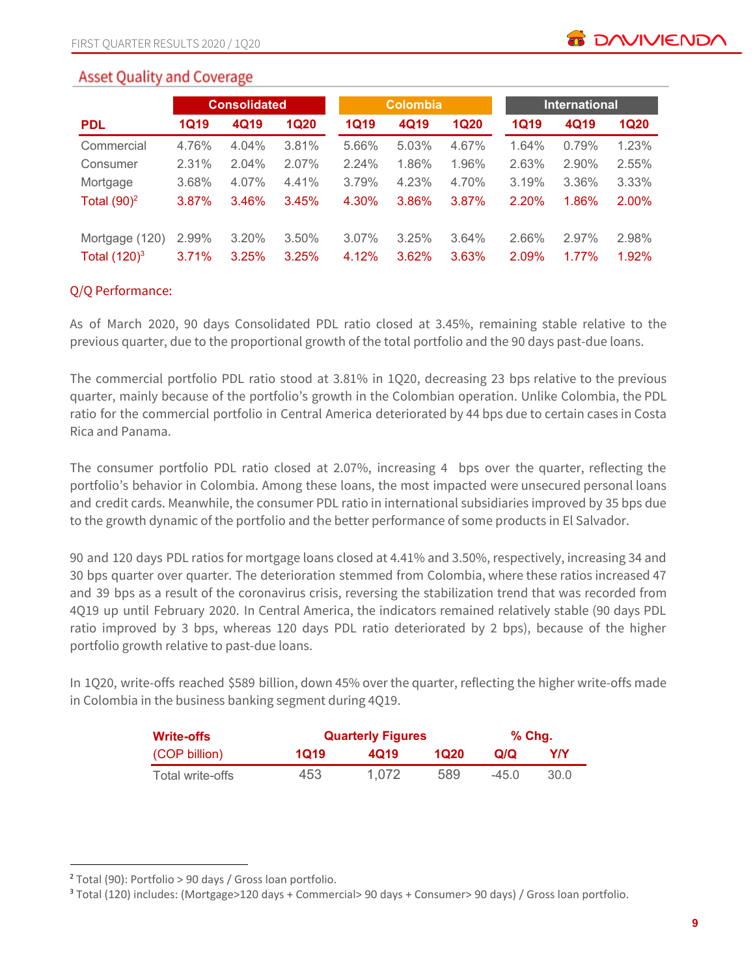# **Asset Quality and Coverage**

|                 |             | <b>Consolidated</b> |             |             | <b>Colombia</b> |             | <b>International</b> |          |             |  |  |
|-----------------|-------------|---------------------|-------------|-------------|-----------------|-------------|----------------------|----------|-------------|--|--|
| <b>PDL</b>      | <b>1Q19</b> | 4Q19                | <b>1Q20</b> | <b>1Q19</b> | 4Q19            | <b>1Q20</b> | <b>1Q19</b>          | 4Q19     | <b>1Q20</b> |  |  |
| Commercial      | 4.76%       | 4.04%               | 3.81%       | 5.66%       | 5.03%           | 4.67%       | 1.64%                | 0.79%    | 1.23%       |  |  |
| Consumer        | 2.31%       | 2.04%               | 2.07%       | 2.24%       | 1.86%           | 1.96%       | 2.63%                | $2.90\%$ | 2.55%       |  |  |
| Mortgage        | 3.68%       | 4.07%               | 4.41%       | 3.79%       | 4.23%           | 4.70%       | 3.19%                | 3.36%    | 3.33%       |  |  |
| Total $(90)^2$  | 3.87%       | 3.46%               | 3.45%       | 4.30%       | 3.86%           | 3.87%       | 2.20%                | 1.86%    | 2.00%       |  |  |
| Mortgage (120)  | 2.99%       | 3.20%               | 3.50%       | 3.07%       | 3.25%           | 3.64%       | 2.66%                | 2.97%    | 2.98%       |  |  |
| Total $(120)^3$ | 3.71%       | 3.25%               | 3.25%       | 4.12%       | 3.62%           | 3.63%       | 2.09%                | $1.77\%$ | 1.92%       |  |  |

#### Q/Q Performance:

As of March 2020, 90 days Consolidated PDL ratio closed at 3.45%, remaining stable relative to the previous quarter, due to the proportional growth of the total portfolio and the 90 days past-due loans.

The commercial portfolio PDL ratio stood at 3.81% in 1Q20, decreasing 23 bps relative to the previous quarter, mainly because of the portfolio's growth in the Colombian operation. Unlike Colombia, the PDL ratio for the commercial portfolio in Central America deteriorated by 44 bps due to certain cases in Costa Rica and Panama.

The consumer portfolio PDL ratio closed at 2.07%, increasing 4 bps over the quarter, reflecting the portfolio's behavior in Colombia. Among these loans, the most impacted were unsecured personal loans and credit cards. Meanwhile, the consumer PDL ratio in international subsidiaries improved by 35 bps due to the growth dynamic of the portfolio and the better performance of some products in El Salvador.

90 and 120 days PDL ratios for mortgage loans closed at 4.41% and 3.50%, respectively, increasing 34 and 30 bps quarter over quarter. The deterioration stemmed from Colombia, where these ratios increased 47 and 39 bps as a result of the coronavirus crisis, reversing the stabilization trend that was recorded from 4Q19 up until February 2020. In Central America, the indicators remained relatively stable (90 days PDL ratio improved by 3 bps, whereas 120 days PDL ratio deteriorated by 2 bps), because of the higher portfolio growth relative to past-due loans.

In 1Q20, write-offs reached \$589 billion, down 45% over the quarter, reflecting the higher write-offs made in Colombia in the business banking segment during 4Q19.

| <b>Write-offs</b> |      | <b>Quarterly Figures</b> |      | % Chq. |      |
|-------------------|------|--------------------------|------|--------|------|
| (COP billion)     | 1Q19 | 4Q19                     | 1020 | Q/Q    | Y/Y  |
| Total write-offs  | 453  | 1.072                    | 589  | $-450$ | 30.0 |

<sup>2</sup> Total (90): Portfolio > 90 days / Gross loan portfolio.

<sup>3</sup> Total (120) includes: (Mortgage>120 days + Commercial> 90 days + Consumer> 90 days) / Gross loan portfolio.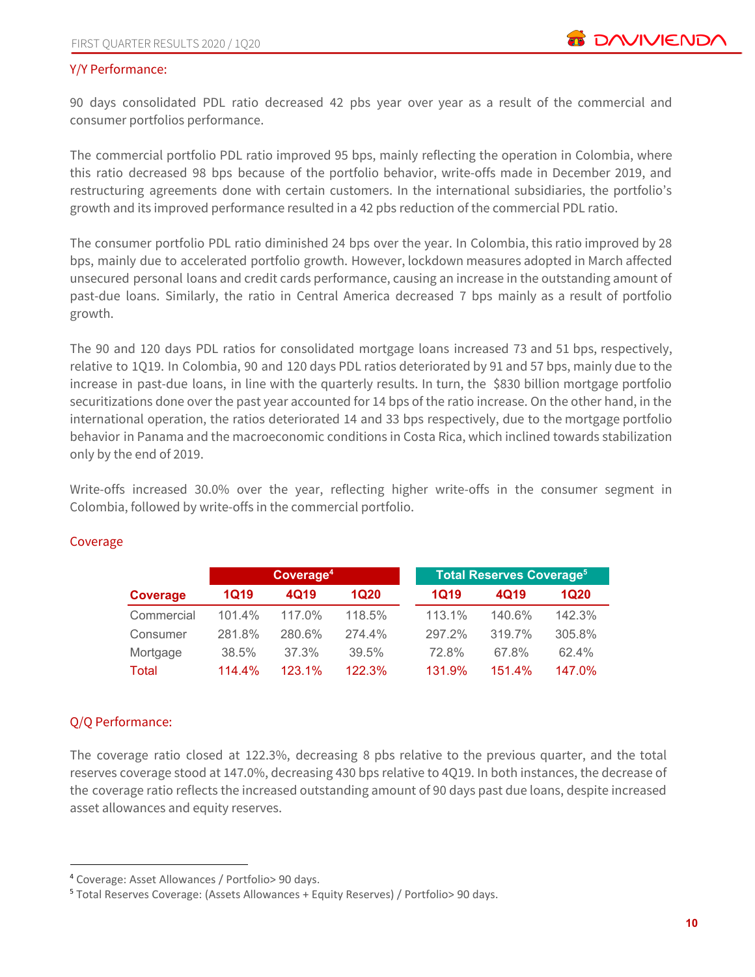#### Y/Y Performance:

90 days consolidated PDL ratio decreased 42 pbs year over year as a result of the commercial and consumer portfolios performance.

The commercial portfolio PDL ratio improved 95 bps, mainly reflecting the operation in Colombia, where this ratio decreased 98 bps because of the portfolio behavior, write-offs made in December 2019, and restructuring agreements done with certain customers. In the international subsidiaries, the portfolio's growth and its improved performance resulted in a 42 pbs reduction of the commercial PDL ratio.

The consumer portfolio PDL ratio diminished 24 bps over the year. In Colombia, this ratio improved by 28 bps, mainly due to accelerated portfolio growth. However, lockdown measures adopted in March affected unsecured personal loans and credit cards performance, causing an increase in the outstanding amount of past-due loans. Similarly, the ratio in Central America decreased 7 bps mainly as a result of portfolio growth.

The 90 and 120 days PDL ratios for consolidated mortgage loans increased 73 and 51 bps, respectively, relative to 1Q19. In Colombia, 90 and 120 days PDL ratios deteriorated by 91 and 57 bps, mainly due to the increase in past-due loans, in line with the quarterly results. In turn, the \$830 billion mortgage portfolio securitizations done over the past year accounted for 14 bps of the ratio increase. On the other hand, in the international operation, the ratios deteriorated 14 and 33 bps respectively, due to the mortgage portfolio behavior in Panama and the macroeconomic conditions in Costa Rica, which inclined towards stabilization only by the end of 2019.

Write-offs increased 30.0% over the year, reflecting higher write-offs in the consumer segment in Colombia, followed by write-offs in the commercial portfolio.

|            |             | Coverage <sup>4</sup> |        |             | <b>Total Reserves Coverage<sup>5</sup></b> |             |
|------------|-------------|-----------------------|--------|-------------|--------------------------------------------|-------------|
| Coverage   | <b>1Q19</b> | 4Q19                  | 1Q20   | <b>1Q19</b> | 4Q19                                       | <b>1Q20</b> |
| Commercial | 101.4%      | $117.0\%$             | 118.5% | 113.1%      | 140.6%                                     | 142.3%      |
| Consumer   | 281.8%      | 280.6%                | 274.4% | 297.2%      | 319.7%                                     | 305.8%      |
| Mortgage   | 38.5%       | 37.3%                 | 39.5%  | 72.8%       | 67.8%                                      | 62.4%       |
| Total      | $114.4\%$   | 123.1%                | 122.3% | 131.9%      | 151.4%                                     | 147.0%      |

#### Coverage

#### Q/Q Performance:

The coverage ratio closed at 122.3%, decreasing 8 pbs relative to the previous quarter, and the total reserves coverage stood at 147.0%, decreasing 430 bps relative to 4Q19. In both instances, the decrease of the coverage ratio reflects the increased outstanding amount of 90 days past due loans, despite increased asset allowances and equity reserves.

<sup>4</sup> Coverage: Asset Allowances / Portfolio> 90 days.

<sup>5</sup> Total Reserves Coverage: (Assets Allowances + Equity Reserves) / Portfolio> 90 days.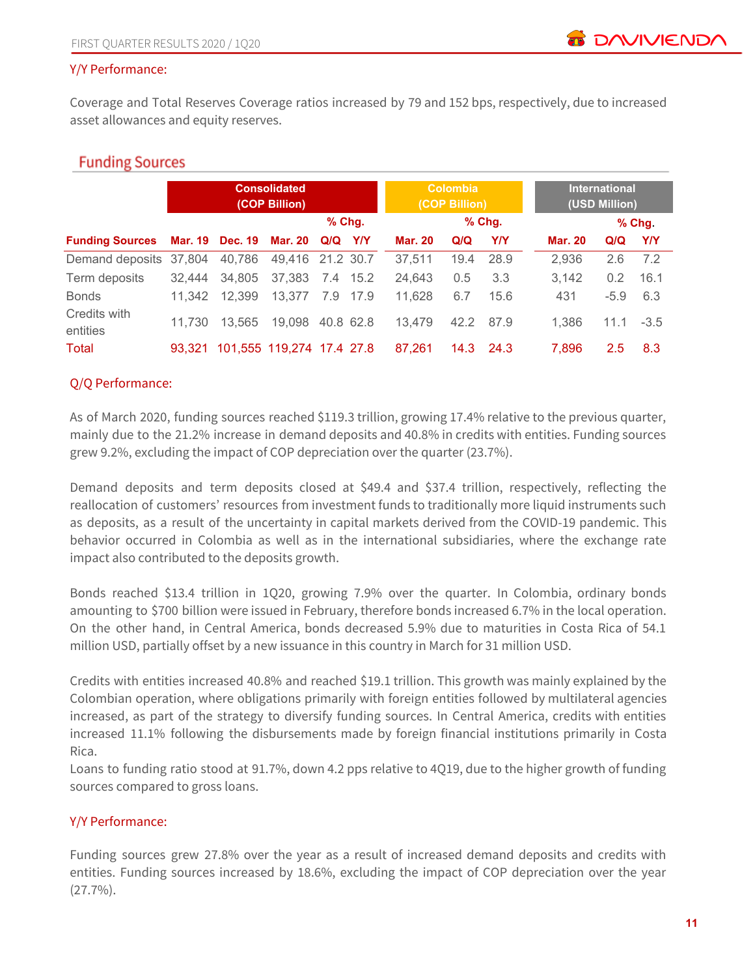#### Y/Y Performance:

Coverage and Total Reserves Coverage ratios increased by 79 and 152 bps, respectively, due to increased asset allowances and equity reserves.

## **Funding Sources**

|                                         |        |        | <b>Consolidated</b><br>(COP Billion) |           |          |                | <b>Colombia</b><br>(COP Billion) |            |                | <b>International</b><br>(USD Million) |          |
|-----------------------------------------|--------|--------|--------------------------------------|-----------|----------|----------------|----------------------------------|------------|----------------|---------------------------------------|----------|
|                                         |        |        |                                      | $%$ Chg.  |          |                |                                  | $%$ Chg.   |                |                                       | $%$ Chg. |
| Funding Sources Mar. 19 Dec. 19 Mar. 20 |        |        |                                      | Q/Q Y/Y   |          | <b>Mar. 20</b> | Q/Q                              | <b>Y/Y</b> | <b>Mar. 20</b> | Q/Q                                   | Y/Y      |
| Demand deposits                         | 37,804 | 40,786 | 49,416 21.2 30.7                     |           |          | 37,511         | 19.4                             | 28.9       | 2,936          | 2.6                                   | 7.2      |
| Term deposits                           | 32.444 | 34.805 | 37.383                               | 7.4 15.2  |          | 24.643         | 0.5                              | 3.3        | 3.142          | 0.2                                   | 16.1     |
| <b>Bonds</b>                            | 11.342 | 12,399 | 13,377                               |           | 7.9 17.9 | 11.628         | 6.7                              | 15.6       | 431            | $-5.9$                                | 6.3      |
| Credits with<br>entities                | 11.730 | 13.565 | 19,098                               | 40.8 62.8 |          | 13.479         | 42.2                             | 87.9       | 1,386          | 11.1                                  | $-3.5$   |
| Total                                   | 93.321 |        | 101,555 119,274 17.4 27.8            |           |          | 87.261         | 14.3                             | 24.3       | 7,896          | 2.5                                   | 8.3      |

#### Q/Q Performance:

As of March 2020, funding sources reached \$119.3 trillion, growing 17.4% relative to the previous quarter, mainly due to the 21.2% increase in demand deposits and 40.8% in credits with entities. Funding sources grew 9.2%, excluding the impact of COP depreciation over the quarter (23.7%).

Demand deposits and term deposits closed at \$49.4 and \$37.4 trillion, respectively, reflecting the reallocation of customers' resources from investment funds to traditionally more liquid instruments such as deposits, as a result of the uncertainty in capital markets derived from the COVID-19 pandemic. This behavior occurred in Colombia as well as in the international subsidiaries, where the exchange rate impact also contributed to the deposits growth.

Bonds reached \$13.4 trillion in 1Q20, growing 7.9% over the quarter. In Colombia, ordinary bonds amounting to \$700 billion were issued in February, therefore bonds increased 6.7% in the local operation. On the other hand, in Central America, bonds decreased 5.9% due to maturities in Costa Rica of 54.1 million USD, partially offset by a new issuance in this country in March for 31 million USD.

Credits with entities increased 40.8% and reached \$19.1 trillion. This growth was mainly explained by the Colombian operation, where obligations primarily with foreign entities followed by multilateral agencies increased, as part of the strategy to diversify funding sources. In Central America, credits with entities increased 11.1% following the disbursements made by foreign financial institutions primarily in Costa Rica.

Loans to funding ratio stood at 91.7%, down 4.2 pps relative to 4Q19, due to the higher growth of funding sources compared to gross loans.

#### Y/Y Performance:

Funding sources grew 27.8% over the year as a result of increased demand deposits and credits with entities. Funding sources increased by 18.6%, excluding the impact of COP depreciation over the year  $(27.7\%)$ .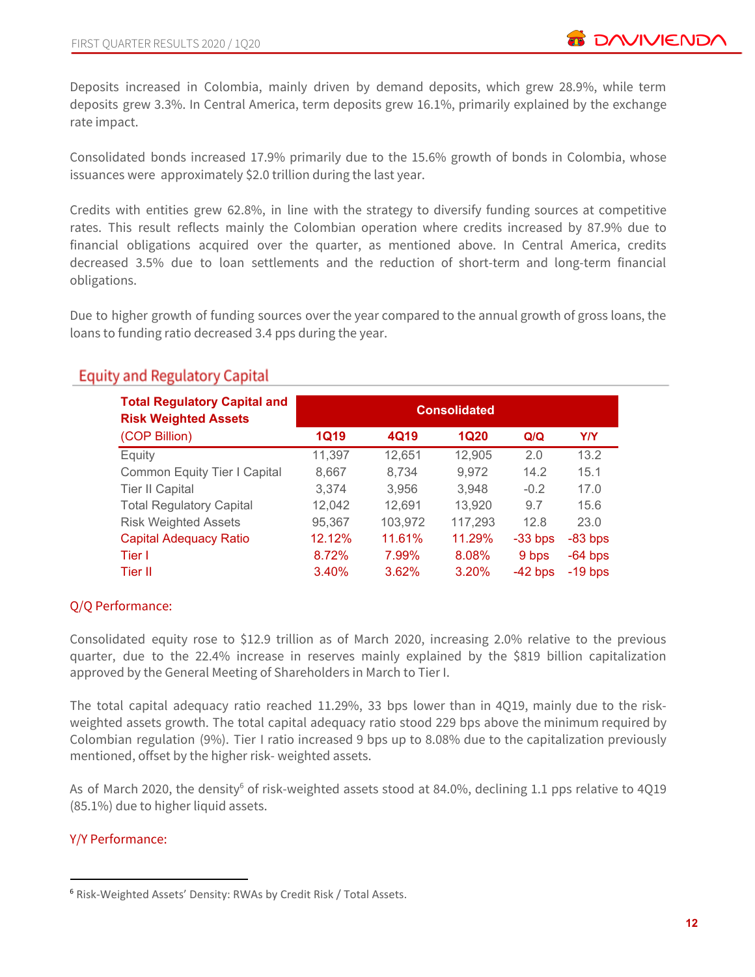Deposits increased in Colombia, mainly driven by demand deposits, which grew 28.9%, while term deposits grew 3.3%. In Central America, term deposits grew 16.1%, primarily explained by the exchange rate impact.

Consolidated bonds increased 17.9% primarily due to the 15.6% growth of bonds in Colombia, whose issuances were approximately \$2.0 trillion during the last year.

Credits with entities grew 62.8%, in line with the strategy to diversify funding sources at competitive rates. This result reflects mainly the Colombian operation where credits increased by 87.9% due to financial obligations acquired over the quarter, as mentioned above. In Central America, credits decreased 3.5% due to loan settlements and the reduction of short-term and long-term financial obligations.

Due to higher growth of funding sources over the year compared to the annual growth of gross loans, the loans to funding ratio decreased 3.4 pps during the year.

| <b>Total Regulatory Capital and</b><br><b>Risk Weighted Assets</b> | <b>Consolidated</b> |         |             |           |           |  |  |  |  |
|--------------------------------------------------------------------|---------------------|---------|-------------|-----------|-----------|--|--|--|--|
| (COP Billion)                                                      | <b>1Q19</b>         | 4Q19    | <b>1Q20</b> | Q/Q       | Y/Y       |  |  |  |  |
| Equity                                                             | 11,397              | 12,651  | 12,905      | 2.0       | 13.2      |  |  |  |  |
| Common Equity Tier I Capital                                       | 8,667               | 8,734   | 9,972       | 14.2      | 15.1      |  |  |  |  |
| <b>Tier II Capital</b>                                             | 3,374               | 3,956   | 3.948       | $-0.2$    | 17.0      |  |  |  |  |
| <b>Total Regulatory Capital</b>                                    | 12,042              | 12,691  | 13,920      | 9.7       | 15.6      |  |  |  |  |
| <b>Risk Weighted Assets</b>                                        | 95,367              | 103,972 | 117,293     | 12.8      | 23.0      |  |  |  |  |
| <b>Capital Adequacy Ratio</b>                                      | 12.12%              | 11.61%  | 11.29%      | $-33$ bps | $-83$ bps |  |  |  |  |
| Tier I                                                             | 8.72%               | 7.99%   | 8.08%       | 9 bps     | $-64$ bps |  |  |  |  |
| Tier II                                                            | 3.40%               | 3.62%   | 3.20%       | $-42$ bps | $-19$ bps |  |  |  |  |

## **Equity and Regulatory Capital**

#### Q/Q Performance:

Consolidated equity rose to \$12.9 trillion as of March 2020, increasing 2.0% relative to the previous quarter, due to the 22.4% increase in reserves mainly explained by the \$819 billion capitalization approved by the General Meeting of Shareholders in March to Tier I.

The total capital adequacy ratio reached 11.29%, 33 bps lower than in 4Q19, mainly due to the riskweighted assets growth. The total capital adequacy ratio stood 229 bps above the minimum required by Colombian regulation (9%). Tier I ratio increased 9 bps up to 8.08% due to the capitalization previously mentioned, offset by the higher risk- weighted assets.

As of March 2020, the density<sup>6</sup> of risk-weighted assets stood at 84.0%, declining 1.1 pps relative to 4Q19 (85.1%) due to higher liquid assets.

#### Y/Y Performance:

<sup>6</sup> Risk-Weighted Assets' Density: RWAs by Credit Risk / Total Assets.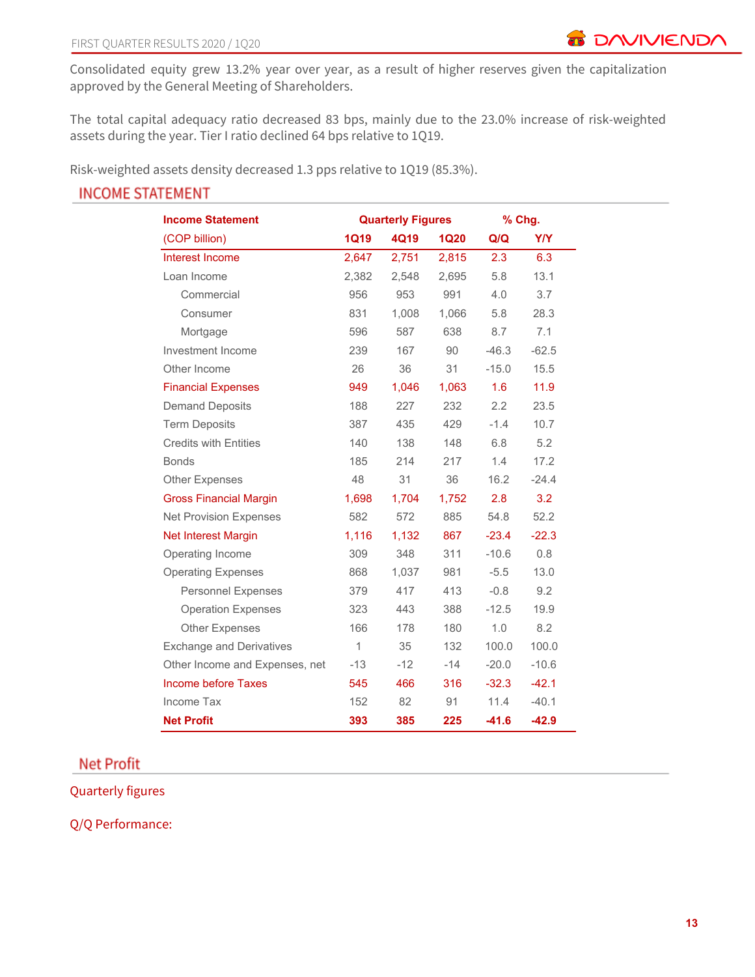Consolidated equity grew 13.2% year over year, as a result of higher reserves given the capitalization approved by the General Meeting of Shareholders.

The total capital adequacy ratio decreased 83 bps, mainly due to the 23.0% increase of risk-weighted assets during the year. Tier I ratio declined 64 bps relative to 1Q19.

Risk-weighted assets density decreased 1.3 pps relative to 1Q19 (85.3%).

# **INCOME STATEMENT**

| <b>Income Statement</b>         |             | <b>Quarterly Figures</b> |             | % Chg.  |            |
|---------------------------------|-------------|--------------------------|-------------|---------|------------|
| (COP billion)                   | <b>1Q19</b> | 4Q19                     | <b>1Q20</b> | Q/Q     | <b>Y/Y</b> |
| Interest Income                 | 2,647       | 2,751                    | 2,815       | 2.3     | 6.3        |
| Loan Income                     | 2,382       | 2,548                    | 2,695       | 5.8     | 13.1       |
| Commercial                      | 956         | 953                      | 991         | 4.0     | 3.7        |
| Consumer                        | 831         | 1,008                    | 1,066       | 5.8     | 28.3       |
| Mortgage                        | 596         | 587                      | 638         | 8.7     | 7.1        |
| Investment Income               | 239         | 167                      | 90          | $-46.3$ | $-62.5$    |
| Other Income                    | 26          | 36                       | 31          | $-15.0$ | 15.5       |
| <b>Financial Expenses</b>       | 949         | 1,046                    | 1,063       | 1.6     | 11.9       |
| <b>Demand Deposits</b>          | 188         | 227                      | 232         | 2.2     | 23.5       |
| <b>Term Deposits</b>            | 387         | 435                      | 429         | $-1.4$  | 10.7       |
| <b>Credits with Entities</b>    | 140         | 138                      | 148         | 6.8     | 5.2        |
| <b>Bonds</b>                    | 185         | 214                      | 217         | 1.4     | 17.2       |
| <b>Other Expenses</b>           | 48          | 31                       | 36          | 16.2    | $-24.4$    |
| <b>Gross Financial Margin</b>   | 1,698       | 1,704                    | 1,752       | 2.8     | 3.2        |
| <b>Net Provision Expenses</b>   | 582         | 572                      | 885         | 54.8    | 52.2       |
| <b>Net Interest Margin</b>      | 1,116       | 1,132                    | 867         | $-23.4$ | $-22.3$    |
| Operating Income                | 309         | 348                      | 311         | $-10.6$ | 0.8        |
| <b>Operating Expenses</b>       | 868         | 1,037                    | 981         | $-5.5$  | 13.0       |
| <b>Personnel Expenses</b>       | 379         | 417                      | 413         | $-0.8$  | 9.2        |
| <b>Operation Expenses</b>       | 323         | 443                      | 388         | $-12.5$ | 19.9       |
| <b>Other Expenses</b>           | 166         | 178                      | 180         | 1.0     | 8.2        |
| <b>Exchange and Derivatives</b> | 1           | 35                       | 132         | 100.0   | 100.0      |
| Other Income and Expenses, net  | $-13$       | $-12$                    | $-14$       | $-20.0$ | $-10.6$    |
| Income before Taxes             | 545         | 466                      | 316         | $-32.3$ | $-42.1$    |
| Income Tax                      | 152         | 82                       | 91          | 11.4    | $-40.1$    |
| <b>Net Profit</b>               | 393         | 385                      | 225         | $-41.6$ | $-42.9$    |

## **Net Profit**

Quarterly figures

Q/Q Performance: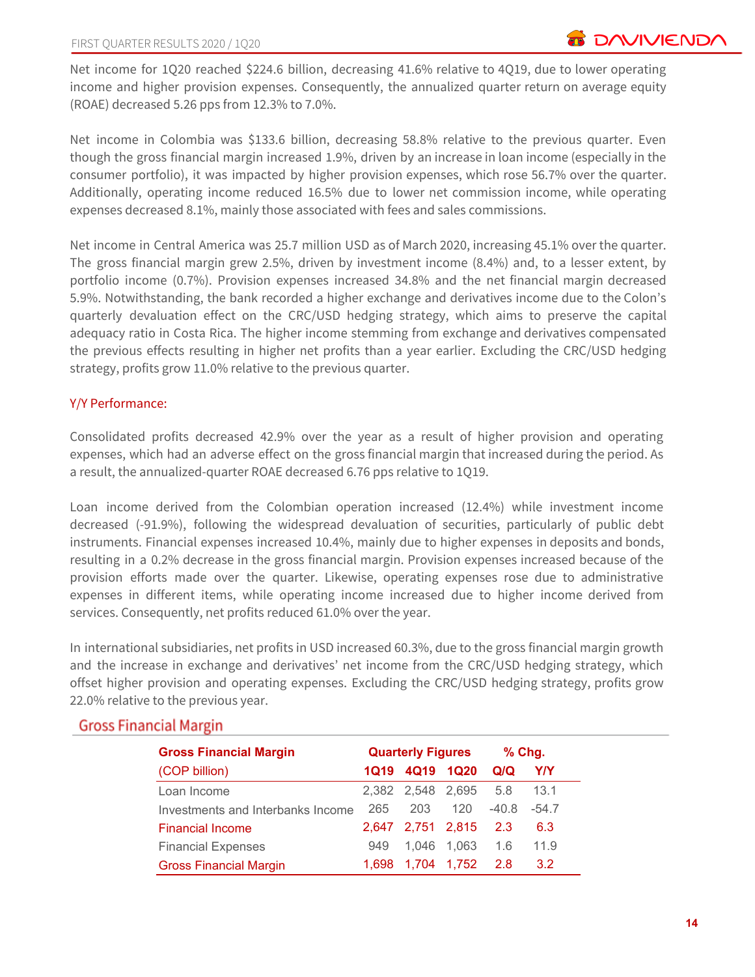Net income for 1Q20 reached \$224.6 billion, decreasing 41.6% relative to 4Q19, due to lower operating income and higher provision expenses. Consequently, the annualized quarter return on average equity (ROAE) decreased 5.26 pps from 12.3% to 7.0%.

Net income in Colombia was \$133.6 billion, decreasing 58.8% relative to the previous quarter. Even though the gross financial margin increased 1.9%, driven by an increase in loan income (especially in the consumer portfolio), it was impacted by higher provision expenses, which rose 56.7% over the quarter. Additionally, operating income reduced 16.5% due to lower net commission income, while operating expenses decreased 8.1%, mainly those associated with fees and sales commissions.

Net income in Central America was 25.7 million USD as of March 2020, increasing 45.1% over the quarter. The gross financial margin grew 2.5%, driven by investment income (8.4%) and, to a lesser extent, by portfolio income (0.7%). Provision expenses increased 34.8% and the net financial margin decreased 5.9%. Notwithstanding, the bank recorded a higher exchange and derivatives income due to the Colon's quarterly devaluation effect on the CRC/USD hedging strategy, which aims to preserve the capital adequacy ratio in Costa Rica. The higher income stemming from exchange and derivatives compensated the previous effects resulting in higher net profits than a year earlier. Excluding the CRC/USD hedging strategy, profits grow 11.0% relative to the previous quarter.

#### Y/Y Performance:

Consolidated profits decreased 42.9% over the year as a result of higher provision and operating expenses, which had an adverse effect on the gross financial margin that increased during the period. As a result, the annualized-quarter ROAE decreased 6.76 pps relative to 1Q19.

Loan income derived from the Colombian operation increased (12.4%) while investment income decreased (-91.9%), following the widespread devaluation of securities, particularly of public debt instruments. Financial expenses increased 10.4%, mainly due to higher expenses in deposits and bonds, resulting in a 0.2% decrease in the gross financial margin. Provision expenses increased because of the provision efforts made over the quarter. Likewise, operating expenses rose due to administrative expenses in different items, while operating income increased due to higher income derived from services. Consequently, net profits reduced 61.0% over the year.

In international subsidiaries, net profits in USD increased 60.3%, due to the gross financial margin growth and the increase in exchange and derivatives' net income from the CRC/USD hedging strategy, which offset higher provision and operating expenses. Excluding the CRC/USD hedging strategy, profits grow 22.0% relative to the previous year.

| <b>Gross Financial Margin</b>     |       | <b>Quarterly Figures</b> |             | $%$ Chg. |                  |
|-----------------------------------|-------|--------------------------|-------------|----------|------------------|
| (COP billion)                     | 1Q19  | 4Q19                     | <b>1Q20</b> | Q/Q      | <b>Y/Y</b>       |
| Loan Income                       |       | 2,382 2,548 2,695        |             | 5.8      | 13.1             |
| Investments and Interbanks Income | 265   | 203                      | 120         | $-40.8$  | $-54.7$          |
| <b>Financial Income</b>           |       | 2,647 2,751 2,815        |             | 2.3      | 6.3              |
| <b>Financial Expenses</b>         | 949   | 1.046                    | 1.063       | 1.6      | 11.9             |
| <b>Gross Financial Margin</b>     | 1.698 | 1.704                    | 1,752       | 2.8      | 3.2 <sub>2</sub> |

## **Gross Financial Margin**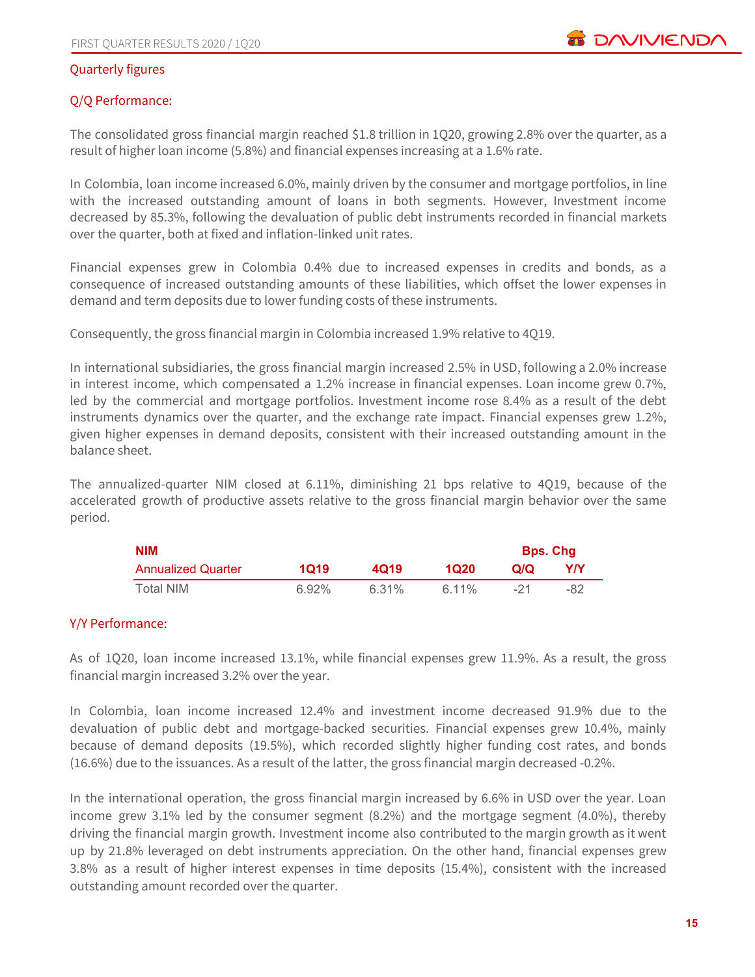#### Quarterly figures

#### Q/Q Performance:

The consolidated gross financial margin reached \$1.8 trillion in 1Q20, growing 2.8% over the quarter, as a result of higher loan income (5.8%) and financial expenses increasing at a 1.6% rate.

In Colombia, loan income increased 6.0%, mainly driven by the consumer and mortgage portfolios, in line with the increased outstanding amount of loans in both segments. However, Investment income decreased by 85.3%, following the devaluation of public debt instruments recorded in financial markets over the quarter, both at fixed and inflation-linked unit rates.

Financial expenses grew in Colombia 0.4% due to increased expenses in credits and bonds, as a consequence of increased outstanding amounts of these liabilities, which offset the lower expenses in demand and term deposits due to lower funding costs of these instruments.

Consequently, the gross financial margin in Colombia increased 1.9% relative to 4Q19.

In international subsidiaries, the gross financial margin increased 2.5% in USD, following a 2.0% increase in interest income, which compensated a 1.2% increase in financial expenses. Loan income grew 0.7%, led by the commercial and mortgage portfolios. Investment income rose 8.4% as a result of the debt instruments dynamics over the quarter, and the exchange rate impact. Financial expenses grew 1.2%, given higher expenses in demand deposits, consistent with their increased outstanding amount in the balance sheet.

The annualized-quarter NIM closed at 6.11%, diminishing 21 bps relative to 4Q19, because of the accelerated growth of productive assets relative to the gross financial margin behavior over the same period.

| <b>NIM</b>                |          |       |       | <b>Bps. Chg</b> |     |
|---------------------------|----------|-------|-------|-----------------|-----|
| <b>Annualized Quarter</b> | 1019     | 4019  | 1020  | Q/Q             | Y/Y |
| Total NIM                 | $6.92\%$ | 6.31% | 6.11% | $-21$           | -82 |

#### Y/Y Performance:

As of 1Q20, loan income increased 13.1%, while financial expenses grew 11.9%. As a result, the gross financial margin increased 3.2% over the year.

In Colombia, loan income increased 12.4% and investment income decreased 91.9% due to the devaluation of public debt and mortgage-backed securities. Financial expenses grew 10.4%, mainly because of demand deposits (19.5%), which recorded slightly higher funding cost rates, and bonds (16.6%) due to the issuances. As a result of the latter, the gross financial margin decreased -0.2%.

In the international operation, the gross financial margin increased by 6.6% in USD over the year. Loan income grew 3.1% led by the consumer segment (8.2%) and the mortgage segment (4.0%), thereby driving the financial margin growth. Investment income also contributed to the margin growth as it went up by 21.8% leveraged on debt instruments appreciation. On the other hand, financial expenses grew 3.8% as a result of higher interest expenses in time deposits (15.4%), consistent with the increased outstanding amount recorded over the quarter.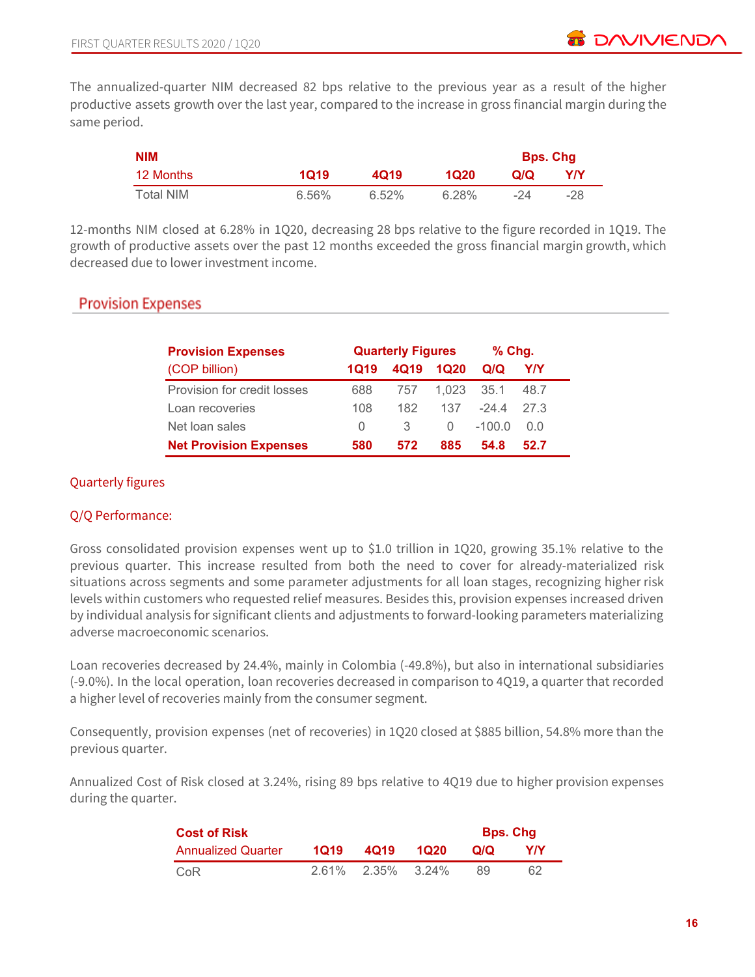The annualized-quarter NIM decreased 82 bps relative to the previous year as a result of the higher productive assets growth over the last year, compared to the increase in gross financial margin during the same period.

| <b>NIM</b> |       |       |       |     | <b>Bps. Chg</b> |
|------------|-------|-------|-------|-----|-----------------|
| 12 Months  | 1Q19  | 4019  | 1020  | Q/Q | Y/Y             |
| Total NIM  | 6.56% | 6.52% | 6.28% | -24 | -28             |

12-months NIM closed at 6.28% in 1Q20, decreasing 28 bps relative to the figure recorded in 1Q19. The growth of productive assets over the past 12 months exceeded the gross financial margin growth, which decreased due to lower investment income.

## **Provision Expenses**

| <b>Provision Expenses</b>     | <b>Quarterly Figures</b> |      |       | $%$ Chg. |      |
|-------------------------------|--------------------------|------|-------|----------|------|
| (COP billion)                 | 1019                     | 4Q19 | 1Q20  | Q/Q      | Y/Y  |
| Provision for credit losses   | 688                      | 757  | 1.023 | 35.1     | 48.7 |
| Loan recoveries               | 108                      | 182  | 137   | -24.4    | 27 3 |
| Net loan sales                | $\left( \right)$         | 3    | O     | $-100.0$ | 0.0  |
| <b>Net Provision Expenses</b> | 580                      | 572  | 885   | 54.8     | 52.7 |

### Quarterly figures

#### Q/Q Performance:

Gross consolidated provision expenses went up to \$1.0 trillion in 1Q20, growing 35.1% relative to the previous quarter. This increase resulted from both the need to cover for already-materialized risk situations across segments and some parameter adjustments for all loan stages, recognizing higher risk levels within customers who requested relief measures. Besides this, provision expenses increased driven by individual analysis for significant clients and adjustments to forward-looking parameters materializing adverse macroeconomic scenarios.

Loan recoveries decreased by 24.4%, mainly in Colombia (-49.8%), but also in international subsidiaries (-9.0%). In the local operation, loan recoveries decreased in comparison to 4Q19, a quarter that recorded a higher level of recoveries mainly from the consumer segment.

Consequently, provision expenses (net of recoveries) in 1Q20 closed at \$885 billion, 54.8% more than the previous quarter.

Annualized Cost of Risk closed at 3.24%, rising 89 bps relative to 4Q19 due to higher provision expenses during the quarter.

| <b>Cost of Risk</b>       | <b>Bps. Chg</b> |                   |      |     |     |
|---------------------------|-----------------|-------------------|------|-----|-----|
| <b>Annualized Quarter</b> | 1019            | 4019              | 1020 | O/O | Y/Y |
| CoR                       |                 | 2.61% 2.35% 3.24% |      | 89  | 62  |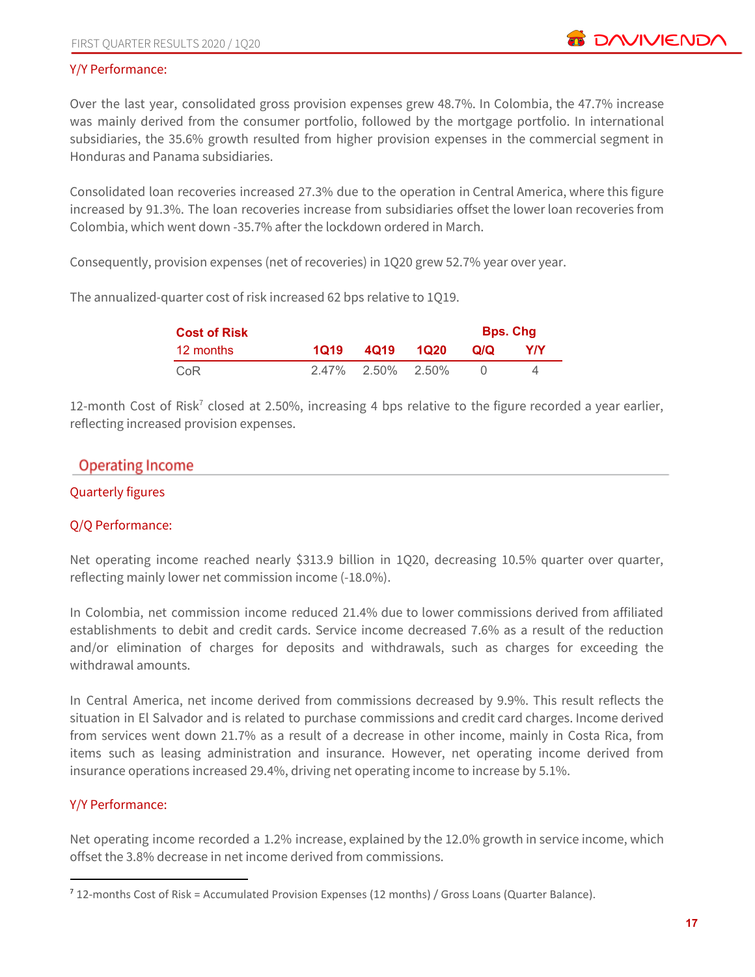#### Y/Y Performance:

Over the last year, consolidated gross provision expenses grew 48.7%. In Colombia, the 47.7% increase was mainly derived from the consumer portfolio, followed by the mortgage portfolio. In international subsidiaries, the 35.6% growth resulted from higher provision expenses in the commercial segment in Honduras and Panama subsidiaries.

Consolidated loan recoveries increased 27.3% due to the operation in Central America, where this figure increased by 91.3%. The loan recoveries increase from subsidiaries offset the lower loan recoveries from Colombia, which went down -35.7% after the lockdown ordered in March.

Consequently, provision expenses (net of recoveries) in 1Q20 grew 52.7% year over year.

The annualized-quarter cost of risk increased 62 bps relative to 1Q19.

| <b>Cost of Risk</b> |      |                      |      | <b>Bps. Chg</b> |     |  |  |
|---------------------|------|----------------------|------|-----------------|-----|--|--|
| 12 months           | 1019 | 4019                 | 1020 | Q/Q             | Y/Y |  |  |
| CoR                 |      | $2.47\%$ 2.50% 2.50% |      |                 |     |  |  |

12-month Cost of Risk<sup>7</sup> closed at 2.50%, increasing 4 bps relative to the figure recorded a year earlier, reflecting increased provision expenses.

## **Operating Income**

#### Quarterly figures

#### Q/Q Performance:

Net operating income reached nearly \$313.9 billion in 1Q20, decreasing 10.5% quarter over quarter, reflecting mainly lower net commission income (-18.0%).

In Colombia, net commission income reduced 21.4% due to lower commissions derived from affiliated establishments to debit and credit cards. Service income decreased 7.6% as a result of the reduction and/or elimination of charges for deposits and withdrawals, such as charges for exceeding the withdrawal amounts.

In Central America, net income derived from commissions decreased by 9.9%. This result reflects the situation in El Salvador and is related to purchase commissions and credit card charges. Income derived from services went down 21.7% as a result of a decrease in other income, mainly in Costa Rica, from items such as leasing administration and insurance. However, net operating income derived from insurance operations increased 29.4%, driving net operating income to increase by 5.1%.

#### Y/Y Performance:

Net operating income recorded a 1.2% increase, explained by the 12.0% growth in service income, which offset the 3.8% decrease in net income derived from commissions.

<sup>7</sup> 12-months Cost of Risk = Accumulated Provision Expenses (12 months) / Gross Loans (Quarter Balance).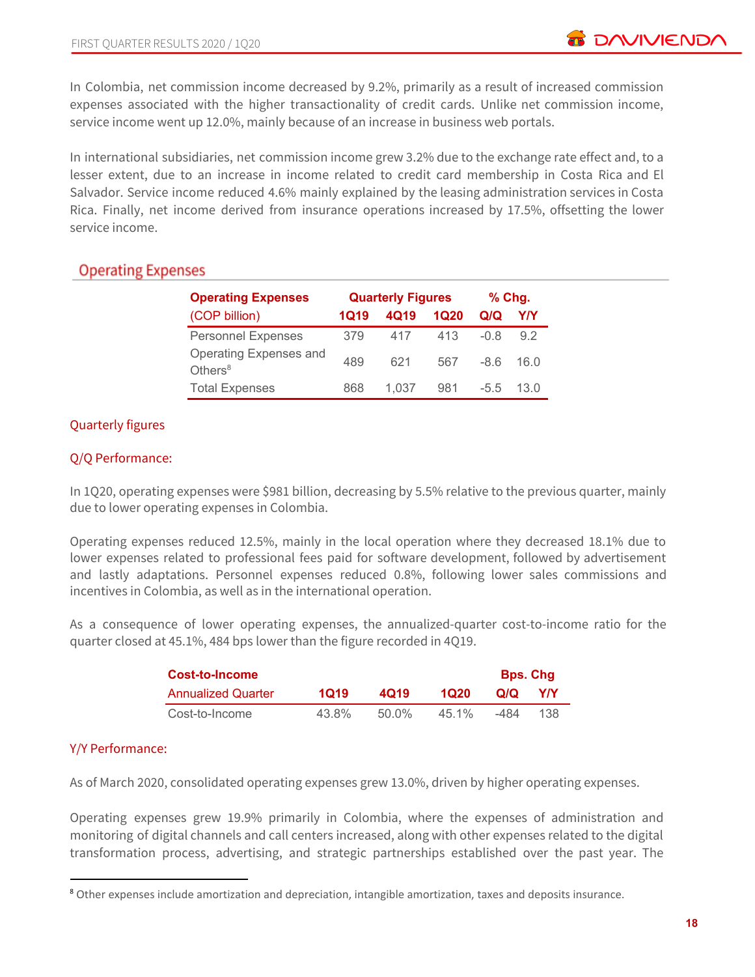In Colombia, net commission income decreased by 9.2%, primarily as a result of increased commission expenses associated with the higher transactionality of credit cards. Unlike net commission income, service income went up 12.0%, mainly because of an increase in business web portals.

In international subsidiaries, net commission income grew 3.2% due to the exchange rate effect and, to a lesser extent, due to an increase in income related to credit card membership in Costa Rica and El Salvador. Service income reduced 4.6% mainly explained by the leasing administration services in Costa Rica. Finally, net income derived from insurance operations increased by 17.5%, offsetting the lower service income.

# **Operating Expenses**

| <b>Operating Expenses</b>            | <b>Quarterly Figures</b> |       |      | $%$ Chg. |      |  |
|--------------------------------------|--------------------------|-------|------|----------|------|--|
| (COP billion)                        | 1Q19                     | 4Q19  | 1Q20 | Q/Q      | Y/Y  |  |
| <b>Personnel Expenses</b>            | 379                      | 417   | 413  | -0.8     | 9.2  |  |
| Operating Expenses and<br>Others $8$ | 489                      | 621   | 567  | $-86$    | 16 N |  |
| <b>Total Expenses</b>                | 868                      | 1.037 | 981  | $-5.5$   | 13 O |  |

## Quarterly figures

#### Q/Q Performance:

In 1Q20, operating expenses were \$981 billion, decreasing by 5.5% relative to the previous quarter, mainly due to lower operating expenses in Colombia.

Operating expenses reduced 12.5%, mainly in the local operation where they decreased 18.1% due to lower expenses related to professional fees paid for software development, followed by advertisement and lastly adaptations. Personnel expenses reduced 0.8%, following lower sales commissions and incentives in Colombia, as well as in the international operation.

As a consequence of lower operating expenses, the annualized-quarter cost-to-income ratio for the quarter closed at 45.1%, 484 bps lower than the figure recorded in 4Q19.

| <b>Cost-to-Income</b>     |       |       |          | <b>Bps. Chg</b> |     |
|---------------------------|-------|-------|----------|-----------------|-----|
| <b>Annualized Quarter</b> | 1019  | 4019  | 1020     | Q/Q             | Y/Y |
| Cost-to-Income            | 43.8% | 50.0% | $45.1\%$ | -484            | 138 |

#### Y/Y Performance:

As of March 2020, consolidated operating expenses grew 13.0%, driven by higher operating expenses.

Operating expenses grew 19.9% primarily in Colombia, where the expenses of administration and monitoring of digital channels and call centers increased, along with other expenses related to the digital transformation process, advertising, and strategic partnerships established over the past year. The

<sup>8</sup> Other expenses include amortization and depreciation, intangible amortization, taxes and deposits insurance.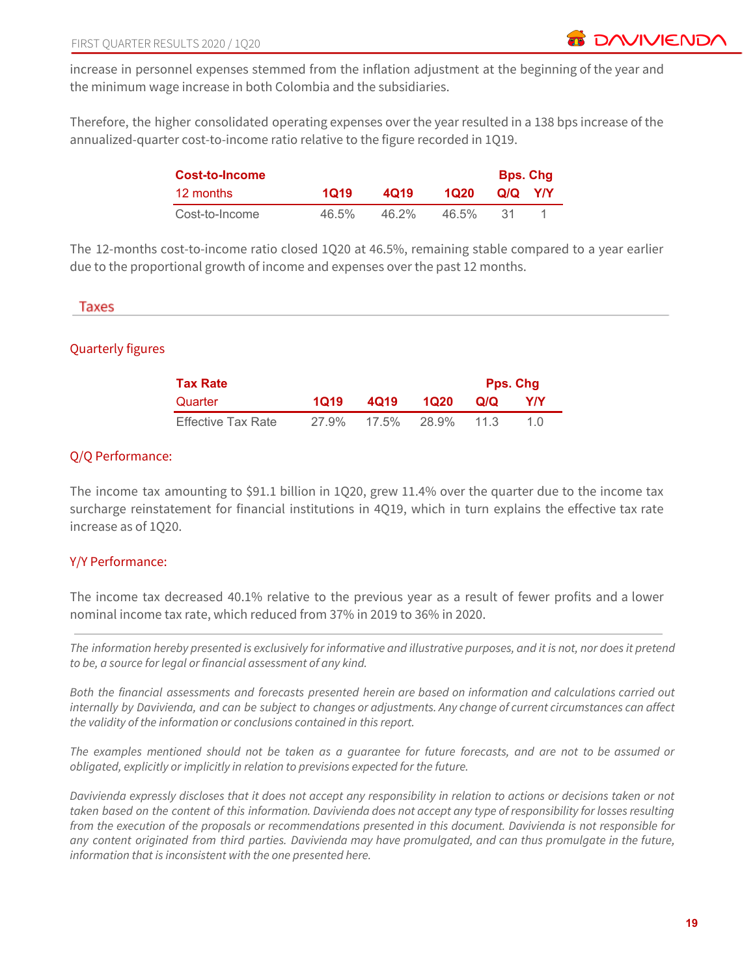increase in personnel expenses stemmed from the inflation adjustment at the beginning of the year and the minimum wage increase in both Colombia and the subsidiaries.

Therefore, the higher consolidated operating expenses over the year resulted in a 138 bps increase of the annualized-quarter cost-to-income ratio relative to the figure recorded in 1Q19.

| Cost-to-Income |          |          |       | <b>Bps. Chg</b> |  |
|----------------|----------|----------|-------|-----------------|--|
| 12 months      | 1019     | 4019     | 1020  | QIQ YIY         |  |
| Cost-to-Income | $46.5\%$ | $46.2\%$ | 46.5% |                 |  |

The 12-months cost-to-income ratio closed 1Q20 at 46.5%, remaining stable compared to a year earlier due to the proportional growth of income and expenses over the past 12 months.

#### Taxes

#### Quarterly figures

| Tax Rate           |       |       |            |     | <b>Pps. Chg</b> |  |
|--------------------|-------|-------|------------|-----|-----------------|--|
| Quarter            | 1019  | 4019  | 1020       | Q/Q | <b>YIY</b>      |  |
| Effective Tax Rate | 27.9% | 17.5% | 28.9% 11.3 |     | 10              |  |

#### Q/Q Performance:

The income tax amounting to \$91.1 billion in 1Q20, grew 11.4% over the quarter due to the income tax surcharge reinstatement for financial institutions in 4Q19, which in turn explains the effective tax rate increase as of 1Q20.

#### Y/Y Performance:

The income tax decreased 40.1% relative to the previous year as a result of fewer profits and a lower nominal income tax rate, which reduced from 37% in 2019 to 36% in 2020.

The information hereby presented is exclusively for informative and illustrative purposes, and it is not, nor does it pretend *to be, a source for legal or financial assessment of any kind.*

Both the financial assessments and forecasts presented herein are based on information and calculations carried out internally by Davivienda, and can be subject to changes or adjustments. Any change of current circumstances can affect *the validity of the information or conclusions contained in this report.*

The examples mentioned should not be taken as a guarantee for future forecasts, and are not to be assumed or *obligated, explicitly or implicitly in relation to previsions expected for the future.*

Davivienda expressly discloses that it does not accept any responsibility in relation to actions or decisions taken or not taken based on the content of this information. Davivienda does not accept any type of responsibility for losses resulting from the execution of the proposals or recommendations presented in this document. Davivienda is not responsible for any content originated from third parties. Davivienda may have promulgated, and can thus promulgate in the future, *information that is inconsistent with the one presented here.*